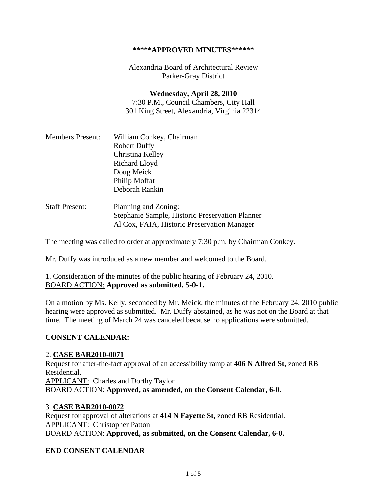#### **\*\*\*\*\*APPROVED MINUTES\*\*\*\*\*\***

Alexandria Board of Architectural Review Parker-Gray District

**Wednesday, April 28, 2010**  7:30 P.M., Council Chambers, City Hall 301 King Street, Alexandria, Virginia 22314

| <b>Members Present:</b> | William Conkey, Chairman                        |
|-------------------------|-------------------------------------------------|
|                         | <b>Robert Duffy</b>                             |
|                         | Christina Kelley                                |
|                         | Richard Lloyd                                   |
|                         | Doug Meick                                      |
|                         | Philip Moffat                                   |
|                         | Deborah Rankin                                  |
| <b>Staff Present:</b>   | Planning and Zoning:                            |
|                         | Stephanie Sample, Historic Preservation Planner |

The meeting was called to order at approximately 7:30 p.m. by Chairman Conkey.

Al Cox, FAIA, Historic Preservation Manager

Mr. Duffy was introduced as a new member and welcomed to the Board.

1. Consideration of the minutes of the public hearing of February 24, 2010. BOARD ACTION: **Approved as submitted, 5-0-1.** 

On a motion by Ms. Kelly, seconded by Mr. Meick, the minutes of the February 24, 2010 public hearing were approved as submitted. Mr. Duffy abstained, as he was not on the Board at that time. The meeting of March 24 was canceled because no applications were submitted.

### **CONSENT CALENDAR:**

#### 2. **CASE BAR2010-0071**

Request for after-the-fact approval of an accessibility ramp at **406 N Alfred St,** zoned RB Residential. APPLICANT: Charles and Dorthy Taylor BOARD ACTION: **Approved, as amended, on the Consent Calendar, 6-0.** 

### 3. **CASE BAR2010-0072**

Request for approval of alterations at **414 N Fayette St,** zoned RB Residential. APPLICANT: Christopher Patton BOARD ACTION: **Approved, as submitted, on the Consent Calendar, 6-0.** 

#### **END CONSENT CALENDAR**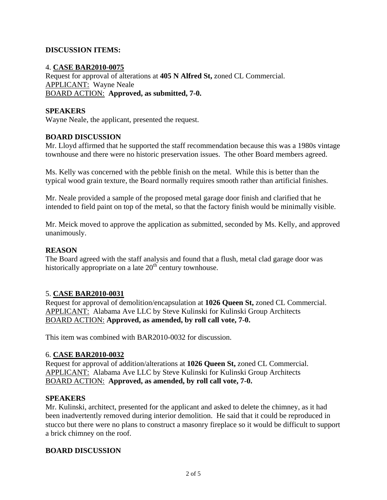# **DISCUSSION ITEMS:**

### 4. **CASE BAR2010-0075**

Request for approval of alterations at **405 N Alfred St,** zoned CL Commercial. APPLICANT: Wayne Neale BOARD ACTION: **Approved, as submitted, 7-0.** 

## **SPEAKERS**

Wayne Neale, the applicant, presented the request.

### **BOARD DISCUSSION**

Mr. Lloyd affirmed that he supported the staff recommendation because this was a 1980s vintage townhouse and there were no historic preservation issues. The other Board members agreed.

Ms. Kelly was concerned with the pebble finish on the metal. While this is better than the typical wood grain texture, the Board normally requires smooth rather than artificial finishes.

Mr. Neale provided a sample of the proposed metal garage door finish and clarified that he intended to field paint on top of the metal, so that the factory finish would be minimally visible.

Mr. Meick moved to approve the application as submitted, seconded by Ms. Kelly, and approved unanimously.

### **REASON**

The Board agreed with the staff analysis and found that a flush, metal clad garage door was historically appropriate on a late  $20<sup>th</sup>$  century townhouse.

### 5. **CASE BAR2010-0031**

Request for approval of demolition/encapsulation at **1026 Queen St,** zoned CL Commercial. APPLICANT: Alabama Ave LLC by Steve Kulinski for Kulinski Group Architects BOARD ACTION: **Approved, as amended, by roll call vote, 7-0.** 

This item was combined with BAR2010-0032 for discussion.

### 6. **CASE BAR2010-0032**

Request for approval of addition/alterations at **1026 Queen St,** zoned CL Commercial. APPLICANT: Alabama Ave LLC by Steve Kulinski for Kulinski Group Architects BOARD ACTION: **Approved, as amended, by roll call vote, 7-0.** 

### **SPEAKERS**

Mr. Kulinski, architect, presented for the applicant and asked to delete the chimney, as it had been inadvertently removed during interior demolition. He said that it could be reproduced in stucco but there were no plans to construct a masonry fireplace so it would be difficult to support a brick chimney on the roof.

### **BOARD DISCUSSION**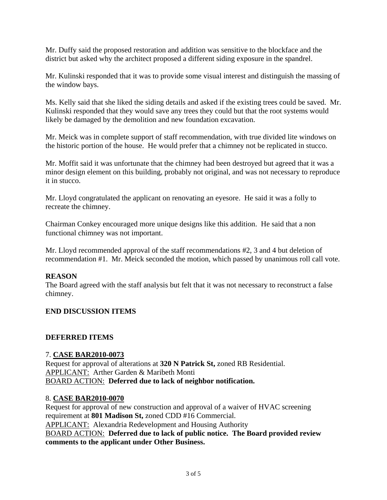Mr. Duffy said the proposed restoration and addition was sensitive to the blockface and the district but asked why the architect proposed a different siding exposure in the spandrel.

Mr. Kulinski responded that it was to provide some visual interest and distinguish the massing of the window bays.

Ms. Kelly said that she liked the siding details and asked if the existing trees could be saved. Mr. Kulinski responded that they would save any trees they could but that the root systems would likely be damaged by the demolition and new foundation excavation.

Mr. Meick was in complete support of staff recommendation, with true divided lite windows on the historic portion of the house. He would prefer that a chimney not be replicated in stucco.

Mr. Moffit said it was unfortunate that the chimney had been destroyed but agreed that it was a minor design element on this building, probably not original, and was not necessary to reproduce it in stucco.

Mr. Lloyd congratulated the applicant on renovating an eyesore. He said it was a folly to recreate the chimney.

Chairman Conkey encouraged more unique designs like this addition. He said that a non functional chimney was not important.

Mr. Lloyd recommended approval of the staff recommendations #2, 3 and 4 but deletion of recommendation #1. Mr. Meick seconded the motion, which passed by unanimous roll call vote.

# **REASON**

The Board agreed with the staff analysis but felt that it was not necessary to reconstruct a false chimney.

# **END DISCUSSION ITEMS**

### **DEFERRED ITEMS**

### 7. **CASE BAR2010-0073**

Request for approval of alterations at **320 N Patrick St,** zoned RB Residential. APPLICANT: Arther Garden & Maribeth Monti BOARD ACTION: **Deferred due to lack of neighbor notification.** 

### 8. **CASE BAR2010-0070**

Request for approval of new construction and approval of a waiver of HVAC screening requirement at **801 Madison St,** zoned CDD #16 Commercial. APPLICANT: Alexandria Redevelopment and Housing Authority BOARD ACTION: **Deferred due to lack of public notice. The Board provided review comments to the applicant under Other Business.**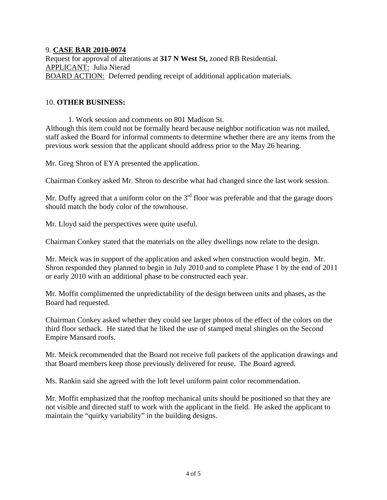## 9. **CASE BAR 2010-0074**

Request for approval of alterations at **317 N West St,** zoned RB Residential. APPLICANT: Julia Nierad BOARD ACTION: Deferred pending receipt of additional application materials.

### 10. **OTHER BUSINESS:**

 1. Work session and comments on 801 Madison St. Although this item could not be formally heard because neighbor notification was not mailed, staff asked the Board for informal comments to determine whether there are any items from the previous work session that the applicant should address prior to the May 26 hearing.

Mr. Greg Shron of EYA presented the application.

Chairman Conkey asked Mr. Shron to describe what had changed since the last work session.

Mr. Duffy agreed that a uniform color on the  $3<sup>rd</sup>$  floor was preferable and that the garage doors should match the body color of the townhouse.

Mr. Lloyd said the perspectives were quite useful.

Chairman Conkey stated that the materials on the alley dwellings now relate to the design.

Mr. Meick was in support of the application and asked when construction would begin. Mr. Shron responded they planned to begin in July 2010 and to complete Phase 1 by the end of 2011 or early 2010 with an additional phase to be constructed each year.

Mr. Moffit complimented the unpredictability of the design between units and phases, as the Board had requested.

Chairman Conkey asked whether they could see larger photos of the effect of the colors on the third floor setback. He stated that he liked the use of stamped metal shingles on the Second Empire Mansard roofs.

Mr. Meick recommended that the Board not receive full packets of the application drawings and that Board members keep those previously delivered for reuse. The Board agreed.

Ms. Rankin said she agreed with the loft level uniform paint color recommendation.

Mr. Moffit emphasized that the rooftop mechanical units should be positioned so that they are not visible and directed staff to work with the applicant in the field. He asked the applicant to maintain the "quirky variability" in the building designs.